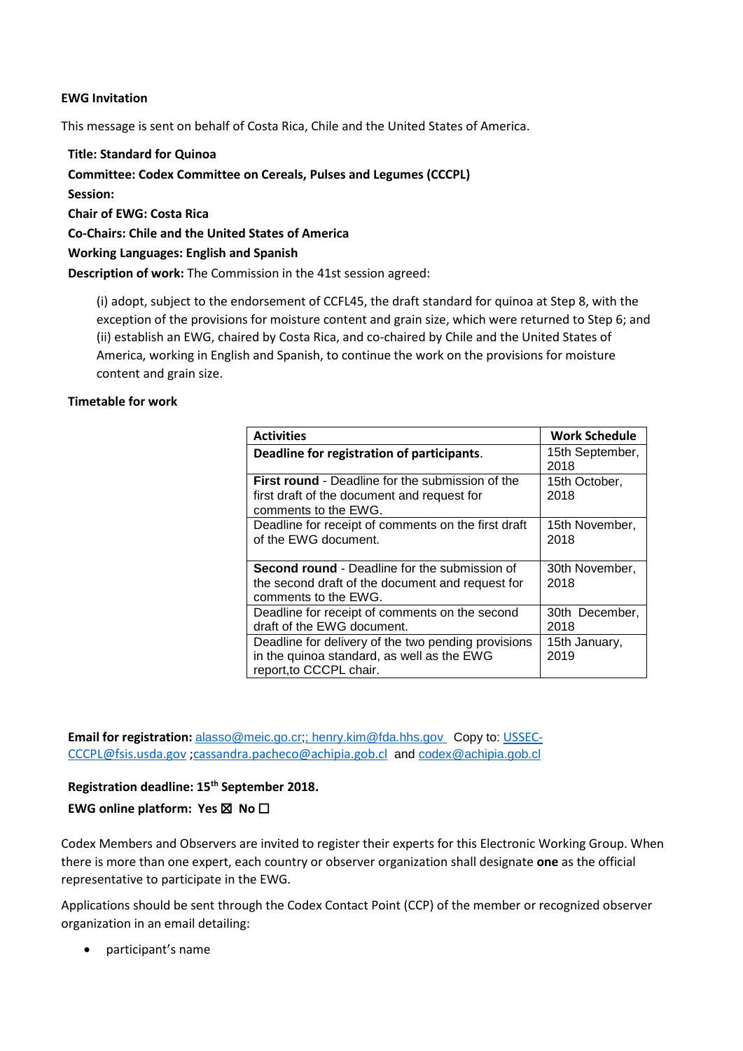## **EWG Invitation**

This message is sent on behalf of Costa Rica, Chile and the United States of America.

**Title: Standard for Quinoa Committee: Codex Committee on Cereals, Pulses and Legumes (CCCPL) Session: Chair of EWG: Costa Rica Co-Chairs: Chile and the United States of America Working Languages: English and Spanish Description of work:** The Commission in the 41st session agreed:

(i) adopt, subject to the endorsement of CCFL45, the draft standard for quinoa at Step 8, with the exception of the provisions for moisture content and grain size, which were returned to Step 6; and (ii) establish an EWG, chaired by Costa Rica, and co-chaired by Chile and the United States of America, working in English and Spanish, to continue the work on the provisions for moisture content and grain size.

## **Timetable for work**

| <b>Activities</b>                                       | <b>Work Schedule</b> |
|---------------------------------------------------------|----------------------|
| Deadline for registration of participants.              | 15th September,      |
|                                                         | 2018                 |
| <b>First round - Deadline for the submission of the</b> | 15th October,        |
| first draft of the document and request for             | 2018                 |
| comments to the EWG.                                    |                      |
| Deadline for receipt of comments on the first draft     | 15th November,       |
| of the EWG document.                                    | 2018                 |
|                                                         |                      |
| <b>Second round - Deadline for the submission of</b>    | 30th November,       |
| the second draft of the document and request for        | 2018                 |
| comments to the EWG.                                    |                      |
| Deadline for receipt of comments on the second          | 30th December,       |
| draft of the EWG document.                              | 2018                 |
| Deadline for delivery of the two pending provisions     | 15th January,        |
| in the quinoa standard, as well as the EWG              | 2019                 |
| report, to CCCPL chair.                                 |                      |

Email for registration: [alasso@meic.go.cr;](mailto:alasso@meic.go.cr); [henry.kim@fda.hhs.gov](mailto:henry.kim@fda.hhs.gov) Copy to: [USSEC-](mailto:USSEC-CCCPL@fsis.usda.gov)[CCCPL@fsis.usda.gov](mailto:USSEC-CCCPL@fsis.usda.gov) ;cassandra.pacheco@achipia.gob.cl and [codex@achipia.gob.cl](mailto:codex@achipia.gob.cl)

**Registration deadline: 15th September 2018. EWG online platform: Yes** ☒ **No** ☐

Codex Members and Observers are invited to register their experts for this Electronic Working Group. When there is more than one expert, each country or observer organization shall designate **one** as the official representative to participate in the EWG.

Applications should be sent through the Codex Contact Point (CCP) of the member or recognized observer organization in an email detailing:

• participant's name